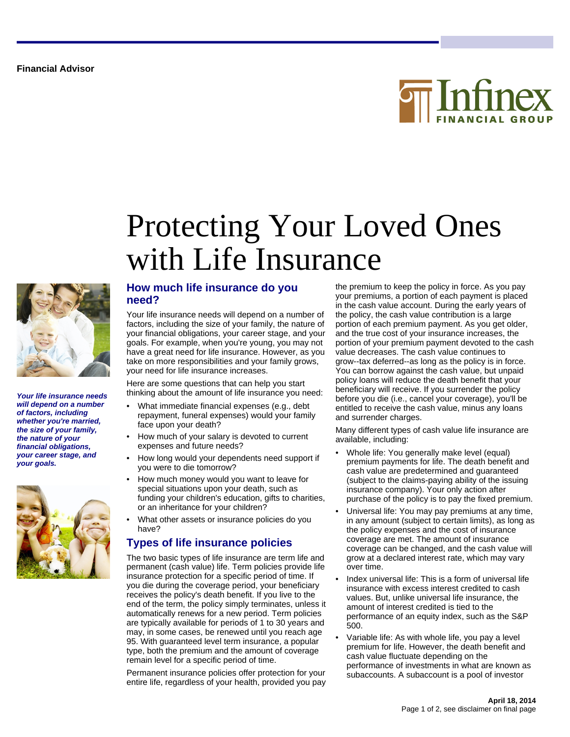



**Your life insurance needs will depend on a number of factors, including whether you're married, the size of your family, the nature of your financial obligations, your career stage, and your goals.**



### **How much life insurance do you need?**

Your life insurance needs will depend on a number of factors, including the size of your family, the nature of your financial obligations, your career stage, and your goals. For example, when you're young, you may not have a great need for life insurance. However, as you take on more responsibilities and your family grows, your need for life insurance increases.

with Life Insurance

Protecting Your Loved Ones

Here are some questions that can help you start thinking about the amount of life insurance you need:

- What immediate financial expenses (e.g., debt repayment, funeral expenses) would your family face upon your death?
- How much of your salary is devoted to current expenses and future needs?
- How long would your dependents need support if you were to die tomorrow?
- How much money would you want to leave for special situations upon your death, such as funding your children's education, gifts to charities, or an inheritance for your children?
- What other assets or insurance policies do you have?

### **Types of life insurance policies**

The two basic types of life insurance are term life and permanent (cash value) life. Term policies provide life insurance protection for a specific period of time. If you die during the coverage period, your beneficiary receives the policy's death benefit. If you live to the end of the term, the policy simply terminates, unless it automatically renews for a new period. Term policies are typically available for periods of 1 to 30 years and may, in some cases, be renewed until you reach age 95. With guaranteed level term insurance, a popular type, both the premium and the amount of coverage remain level for a specific period of time.

Permanent insurance policies offer protection for your entire life, regardless of your health, provided you pay

the premium to keep the policy in force. As you pay your premiums, a portion of each payment is placed in the cash value account. During the early years of the policy, the cash value contribution is a large portion of each premium payment. As you get older, and the true cost of your insurance increases, the portion of your premium payment devoted to the cash value decreases. The cash value continues to grow--tax deferred--as long as the policy is in force. You can borrow against the cash value, but unpaid policy loans will reduce the death benefit that your beneficiary will receive. If you surrender the policy before you die (i.e., cancel your coverage), you'll be entitled to receive the cash value, minus any loans and surrender charges.

Many different types of cash value life insurance are available, including:

- Whole life: You generally make level (equal) premium payments for life. The death benefit and cash value are predetermined and guaranteed (subject to the claims-paying ability of the issuing insurance company). Your only action after purchase of the policy is to pay the fixed premium.
- Universal life: You may pay premiums at any time, in any amount (subject to certain limits), as long as the policy expenses and the cost of insurance coverage are met. The amount of insurance coverage can be changed, and the cash value will grow at a declared interest rate, which may vary over time.
- Index universal life: This is a form of universal life insurance with excess interest credited to cash values. But, unlike universal life insurance, the amount of interest credited is tied to the performance of an equity index, such as the S&P 500.
- Variable life: As with whole life, you pay a level premium for life. However, the death benefit and cash value fluctuate depending on the performance of investments in what are known as subaccounts. A subaccount is a pool of investor